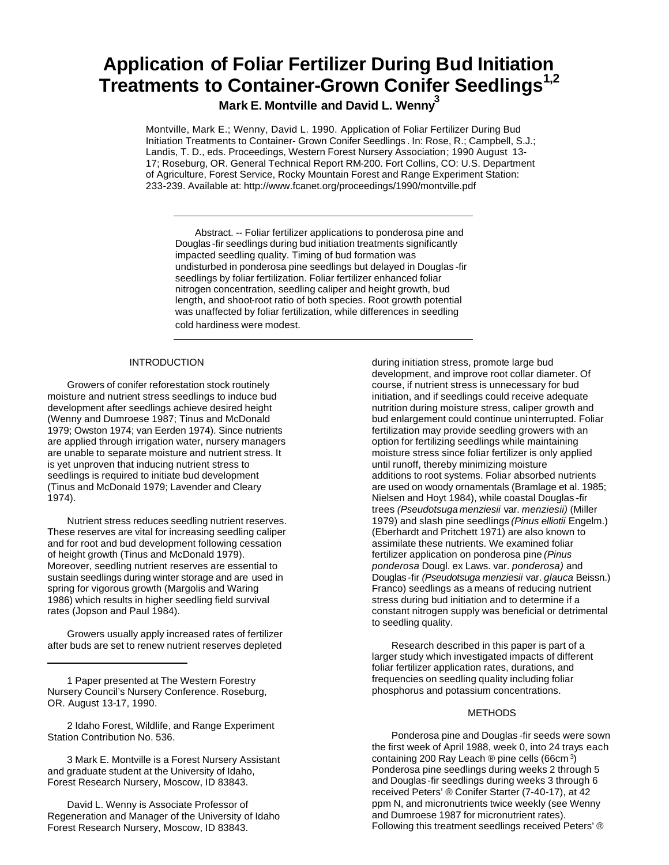# **Application of Foliar Fertilizer During Bud Initiation Treatments to Container-Grown Conifer Seedlings1,2**

**Mark E. Montville and David L. Wenny<sup>3</sup>**

Montville, Mark E.; Wenny, David L. 1990. Application of Foliar Fertilizer During Bud Initiation Treatments to Container- Grown Conifer Seedlings . In: Rose, R.; Campbell, S.J.; Landis, T. D., eds. Proceedings, Western Forest Nursery Association; 1990 August 13- 17; Roseburg, OR. General Technical Report RM-200. Fort Collins, CO: U.S. Department of Agriculture, Forest Service, Rocky Mountain Forest and Range Experiment Station: 233-239. Available at: http://www.fcanet.org/proceedings/1990/montville.pdf

Abstract. -- Foliar fertilizer applications to ponderosa pine and Douglas -fir seedlings during bud initiation treatments significantly impacted seedling quality. Timing of bud formation was undisturbed in ponderosa pine seedlings but delayed in Douglas -fir seedlings by foliar fertilization. Foliar fertilizer enhanced foliar nitrogen concentration, seedling caliper and height growth, bud length, and shoot-root ratio of both species. Root growth potential was unaffected by foliar fertilization, while differences in seedling cold hardiness were modest.

## **INTRODUCTION**

Growers of conifer reforestation stock routinely moisture and nutrient stress seedlings to induce bud development after seedlings achieve desired height (Wenny and Dumroese 1987; Tinus and McDonald 1979; Owston 1974; van Eerden 1974). Since nutrients are applied through irrigation water, nursery managers are unable to separate moisture and nutrient stress. It is yet unproven that inducing nutrient stress to seedlings is required to initiate bud development (Tinus and McDonald 1979; Lavender and Cleary 1974).

Nutrient stress reduces seedling nutrient reserves. These reserves are vital for increasing seedling caliper and for root and bud development following cessation of height growth (Tinus and McDonald 1979). Moreover, seedling nutrient reserves are essential to sustain seedlings during winter storage and are used in spring for vigorous growth (Margolis and Waring 1986) which results in higher seedling field survival rates (Jopson and Paul 1984).

Growers usually apply increased rates of fertilizer after buds are set to renew nutrient reserves depleted

1 Paper presented at The Western Forestry Nursery Council's Nursery Conference. Roseburg, OR. August 13-17, 1990.

2 Idaho Forest, Wildlife, and Range Experiment Station Contribution No. 536.

3 Mark E. Montville is a Forest Nursery Assistant and graduate student at the University of Idaho, Forest Research Nursery, Moscow, ID 83843.

David L. Wenny is Associate Professor of Regeneration and Manager of the University of Idaho Forest Research Nursery, Moscow, ID 83843.

during initiation stress, promote large bud development, and improve root collar diameter. Of course, if nutrient stress is unnecessary for bud initiation, and if seedlings could receive adequate nutrition during moisture stress, caliper growth and bud enlargement could continue uninterrupted. Foliar fertilization may provide seedling growers with an option for fertilizing seedlings while maintaining moisture stress since foliar fertilizer is only applied until runoff, thereby minimizing moisture additions to root systems. Foliar absorbed nutrients are used on woody ornamentals (Bramlage et al. 1985; Nielsen and Hoyt 1984), while coastal Douglas -fir trees *(Pseudotsuga menziesii* var. *menziesii)* (Miller 1979) and slash pine seedlings *(Pinus elliotii* Engelm.) (Eberhardt and Pritchett 1971) are also known to assimilate these nutrients. We examined foliar fertilizer application on ponderosa pine *(Pinus ponderosa* Dougl. ex Laws. var. *ponderosa)* and Douglas -fir *(Pseudotsuga menziesii* var. *glauca* Beissn.) Franco) seedlings as a means of reducing nutrient stress during bud initiation and to determine if a constant nitrogen supply was beneficial or detrimental to seedling quality.

Research described in this paper is part of a larger study which investigated impacts of different foliar fertilizer application rates, durations, and frequencies on seedling quality including foliar phosphorus and potassium concentrations.

#### METHODS

Ponderosa pine and Douglas -fir seeds were sown the first week of April 1988, week 0, into 24 trays each containing 200 Ray Leach ® pine cells (66cm <sup>3</sup>) Ponderosa pine seedlings during weeks 2 through 5 and Douglas -fir seedlings during weeks 3 through 6 received Peters' ® Conifer Starter (7-40-17), at 42 ppm N, and micronutrients twice weekly (see Wenny and Dumroese 1987 for micronutrient rates). Following this treatment seedlings received Peters' ®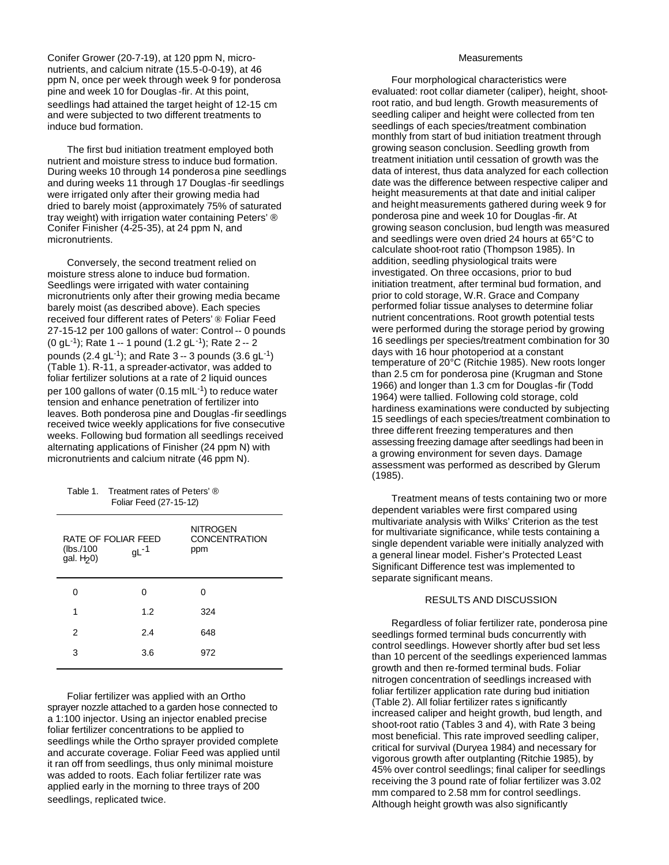Conifer Grower (20-7-19), at 120 ppm N, micronutrients, and calcium nitrate (15.5-0-0-19), at 46 ppm N, once per week through week 9 for ponderosa pine and week 10 for Douglas -fir. At this point, seedlings had attained the target height of 12-15 cm and were subjected to two different treatments to induce bud formation.

The first bud initiation treatment employed both nutrient and moisture stress to induce bud formation. During weeks 10 through 14 ponderosa pine seedlings and during weeks 11 through 17 Douglas -fir seedlings were irrigated only after their growing media had dried to barely moist (approximately 75% of saturated tray weight) with irrigation water containing Peters' ® Conifer Finisher (4-25-35), at 24 ppm N, and micronutrients.

Conversely, the second treatment relied on moisture stress alone to induce bud formation. Seedlings were irrigated with water containing micronutrients only after their growing media became barely moist (as described above). Each species received four different rates of Peters' ® Foliar Feed 27-15-12 per 100 gallons of water: Control -- 0 pounds (0 gL<sup>-1</sup>); Rate 1 -- 1 pound (1.2 gL<sup>-1</sup>); Rate 2 -- 2 pounds (2.4 gL<sup>-1</sup>); and Rate 3 -- 3 pounds (3.6 gL<sup>-1</sup>) (Table 1). R-11, a spreader-activator, was added to foliar fertilizer solutions at a rate of 2 liquid ounces per 100 gallons of water (0.15 mlL<sup>-1</sup>) to reduce water tension and enhance penetration of fertilizer into leaves. Both ponderosa pine and Douglas -fir seedlings received twice weekly applications for five consecutive weeks. Following bud formation all seedlings received alternating applications of Finisher (24 ppm N) with micronutrients and calcium nitrate (46 ppm N).

| Table 1. | Treatment rates of Peters' ® |
|----------|------------------------------|
|          | Foliar Feed (27-15-12)       |

| RATE OF FOLIAR FEED<br>(lbs./100)<br>gal. H <sub>20</sub> ) | $gL-1$ | NITROGEN<br><b>CONCENTRATION</b><br>ppm |
|-------------------------------------------------------------|--------|-----------------------------------------|
| ი                                                           | ი      | Ω                                       |
| 1                                                           | 1.2    | 324                                     |
| 2                                                           | 2.4    | 648                                     |
| 3                                                           | 3.6    | 972                                     |

Foliar fertilizer was applied with an Ortho sprayer nozzle attached to a garden hose connected to a 1:100 injector. Using an injector enabled precise foliar fertilizer concentrations to be applied to seedlings while the Ortho sprayer provided complete and accurate coverage. Foliar Feed was applied until it ran off from seedlings, thus only minimal moisture was added to roots. Each foliar fertilizer rate was applied early in the morning to three trays of 200 seedlings, replicated twice.

## **Measurements**

Four morphological characteristics were evaluated: root collar diameter (caliper), height, shootroot ratio, and bud length. Growth measurements of seedling caliper and height were collected from ten seedlings of each species/treatment combination monthly from start of bud initiation treatment through growing season conclusion. Seedling growth from treatment initiation until cessation of growth was the data of interest, thus data analyzed for each collection date was the difference between respective caliper and height measurements at that date and initial caliper and height measurements gathered during week 9 for ponderosa pine and week 10 for Douglas -fir. At growing season conclusion, bud length was measured and seedlings were oven dried 24 hours at 65°C to calculate shoot-root ratio (Thompson 1985). In addition, seedling physiological traits were investigated. On three occasions, prior to bud initiation treatment, after terminal bud formation, and prior to cold storage, W.R. Grace and Company performed foliar tissue analyses to determine foliar nutrient concentrations. Root growth potential tests were performed during the storage period by growing 16 seedlings per species/treatment combination for 30 days with 16 hour photoperiod at a constant temperature of 20°C (Ritchie 1985). New roots longer than 2.5 cm for ponderosa pine (Krugman and Stone 1966) and longer than 1.3 cm for Douglas -fir (Todd 1964) were tallied. Following cold storage, cold hardiness examinations were conducted by subjecting 15 seedlings of each species/treatment combination to three different freezing temperatures and then assessing freezing damage after seedlings had been in a growing environment for seven days. Damage assessment was performed as described by Glerum (1985).

Treatment means of tests containing two or more dependent variables were first compared using multivariate analysis with Wilks' Criterion as the test for multivariate significance, while tests containing a single dependent variable were initially analyzed with a general linear model. Fisher's Protected Least Significant Difference test was implemented to separate significant means.

## RESULTS AND DISCUSSION

Regardless of foliar fertilizer rate, ponderosa pine seedlings formed terminal buds concurrently with control seedlings. However shortly after bud set less than 10 percent of the seedlings experienced lammas growth and then re-formed terminal buds. Foliar nitrogen concentration of seedlings increased with foliar fertilizer application rate during bud initiation (Table 2). All foliar fertilizer rates s ignificantly increased caliper and height growth, bud length, and shoot-root ratio (Tables 3 and 4), with Rate 3 being most beneficial. This rate improved seedling caliper, critical for survival (Duryea 1984) and necessary for vigorous growth after outplanting (Ritchie 1985), by 45% over control seedlings; final caliper for seedlings receiving the 3 pound rate of foliar fertilizer was 3.02 mm compared to 2.58 mm for control seedlings. Although height growth was also significantly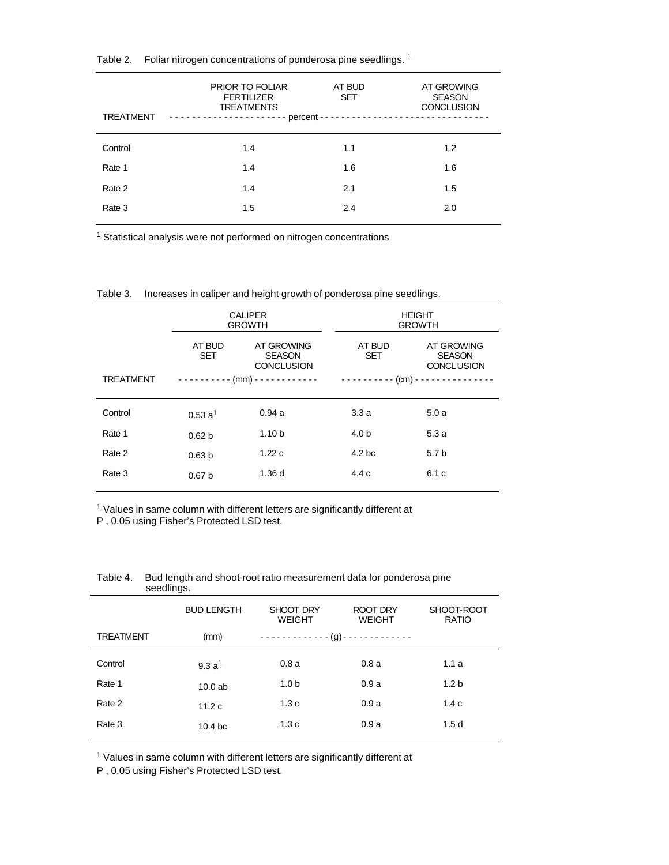| <b>TREATMENT</b> | PRIOR TO FOLIAR<br><b>FERTILIZER</b><br><b>TREATMENTS</b> | AT BUD<br><b>SET</b> | AT GROWING<br><b>SEASON</b><br><b>CONCLUSION</b> |
|------------------|-----------------------------------------------------------|----------------------|--------------------------------------------------|
| Control          | 1.4                                                       | 1.1                  | 1.2                                              |
| Rate 1           | 1.4                                                       | 1.6                  | 1.6                                              |
| Rate 2           | 1.4                                                       | 2.1                  | 1.5                                              |
| Rate 3           | 1.5                                                       | 2.4                  | 2.0                                              |
|                  |                                                           |                      |                                                  |

Table 2. Foliar nitrogen concentrations of ponderosa pine seedlings. <sup>1</sup>

<sup>1</sup> Statistical analysis were not performed on nitrogen concentrations

|                  | <b>CALIPER</b><br><b>GROWTH</b><br>AT BUD<br>AT GROWING<br><b>SET</b><br><b>SEASON</b><br><b>CONCLUSION</b> |                   | <b>HEIGHT</b><br><b>GROWTH</b> |                                                  |
|------------------|-------------------------------------------------------------------------------------------------------------|-------------------|--------------------------------|--------------------------------------------------|
|                  |                                                                                                             |                   | AT BUD<br><b>SET</b>           | AT GROWING<br><b>SEASON</b><br><b>CONCLUSION</b> |
| <b>TREATMENT</b> |                                                                                                             |                   |                                |                                                  |
| Control          | 0.53a <sup>1</sup>                                                                                          | 0.94a             | 3.3a                           | 5.0a                                             |
| Rate 1           | 0.62 <sub>b</sub>                                                                                           | 1.10 <sub>b</sub> | 4.0 b                          | 5.3a                                             |
| Rate 2           | 0.63 <sub>b</sub>                                                                                           | 1.22c             | 4.2 <sub>bc</sub>              | 5.7 <sub>b</sub>                                 |
| Rate 3           | 0.67 <sub>b</sub>                                                                                           | 1.36d             | 4.4c                           | 6.1 c                                            |

Table 3. Increases in caliper and height growth of ponderosa pine seedlings.

 $1$  Values in same column with different letters are significantly different at P , 0.05 using Fisher's Protected LSD test.

|                  | <b>BUD LENGTH</b>  | SHOOT DRY<br><b>WEIGHT</b>                            | ROOT DRY<br><b>WEIGHT</b> | SHOOT-ROOT<br><b>RATIO</b> |
|------------------|--------------------|-------------------------------------------------------|---------------------------|----------------------------|
| <b>TREATMENT</b> | (mm)               | - - - - - - - - - - - - (q) - - - - - - - - - - - - - |                           |                            |
| Control          | 9.3a <sup>1</sup>  | 0.8a                                                  | 0.8a                      | 1.1a                       |
| Rate 1           | 10.0ab             | 1.0 <sub>b</sub>                                      | 0.9a                      | 1.2 <sub>b</sub>           |
| Rate 2           | 11.2c              | 1.3 <sub>c</sub>                                      | 0.9a                      | 1.4c                       |
| Rate 3           | 10.4 <sub>bc</sub> | 1.3c                                                  | 0.9a                      | 1.5d                       |

Table 4. Bud length and shoot-root ratio measurement data for ponderosa pine seedlings.

<sup>1</sup> Values in same column with different letters are significantly different at

P , 0.05 using Fisher's Protected LSD test.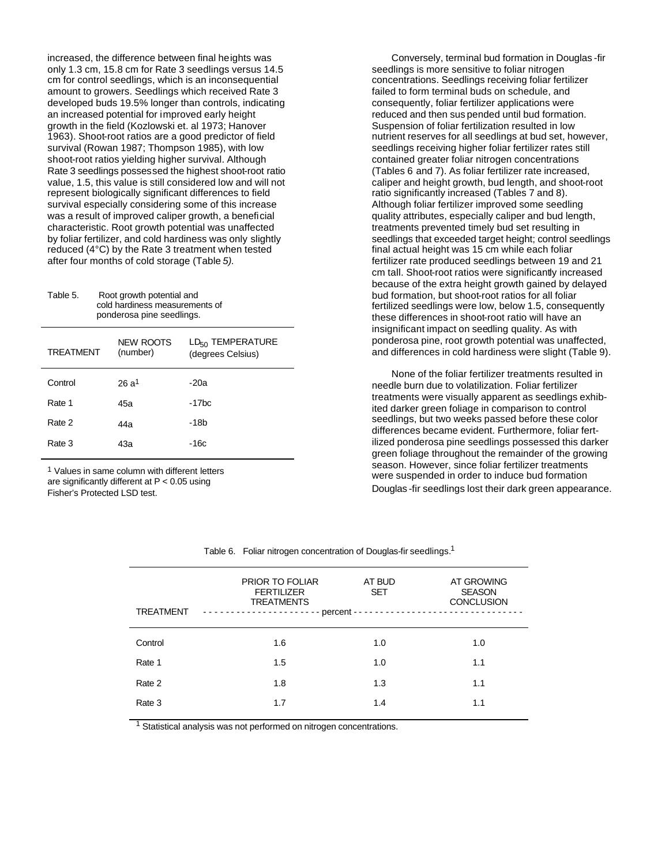increased, the difference between final heights was only 1.3 cm, 15.8 cm for Rate 3 seedlings versus 14.5 cm for control seedlings, which is an inconsequential amount to growers. Seedlings which received Rate 3 developed buds 19.5% longer than controls, indicating an increased potential for improved early height growth in the field (Kozlowski et. al 1973; Hanover 1963). Shoot-root ratios are a good predictor of field survival (Rowan 1987; Thompson 1985), with low shoot-root ratios yielding higher survival. Although Rate 3 seedlings possessed the highest shoot-root ratio value, 1.5, this value is still considered low and will not represent biologically significant differences to field survival especially considering some of this increase was a result of improved caliper growth, a beneficial characteristic. Root growth potential was unaffected by foliar fertilizer, and cold hardiness was only slightly reduced (4°C) by the Rate 3 treatment when tested after four months of cold storage (Table *5).*

Table 5. Root growth potential and cold hardiness measurements of ponderosa pine seedlings.

| <b>TREATMENT</b> | NEW ROOTS<br>(number) | LD <sub>50</sub> TEMPERATURE<br>(degrees Celsius) |
|------------------|-----------------------|---------------------------------------------------|
| Control          | $26a^1$               | $-20a$                                            |
| Rate 1           | 45a                   | $-17bc$                                           |
| Rate 2           | 44a                   | -18b                                              |
| Rate 3           | 43а                   | $-16c$                                            |

1 Values in same column with different letters are significantly different at P < 0.05 using Fisher's Protected LSD test.

Conversely, terminal bud formation in Douglas -fir seedlings is more sensitive to foliar nitrogen concentrations. Seedlings receiving foliar fertilizer failed to form terminal buds on schedule, and consequently, foliar fertilizer applications were reduced and then sus pended until bud formation. Suspension of foliar fertilization resulted in low nutrient reserves for all seedlings at bud set, however, seedlings receiving higher foliar fertilizer rates still contained greater foliar nitrogen concentrations (Tables 6 and 7). As foliar fertilizer rate increased, caliper and height growth, bud length, and shoot-root ratio significantly increased (Tables 7 and 8). Although foliar fertilizer improved some seedling quality attributes, especially caliper and bud length, treatments prevented timely bud set resulting in seedlings that exceeded target height; control seedlings final actual height was 15 cm while each foliar fertilizer rate produced seedlings between 19 and 21 cm tall. Shoot-root ratios were significantly increased because of the extra height growth gained by delayed bud formation, but shoot-root ratios for all foliar fertilized seedlings were low, below 1.5, consequently these differences in shoot-root ratio will have an insignificant impact on seedling quality. As with ponderosa pine, root growth potential was unaffected, and differences in cold hardiness were slight (Table 9).

None of the foliar fertilizer treatments resulted in needle burn due to volatilization. Foliar fertilizer treatments were visually apparent as seedlings exhibited darker green foliage in comparison to control seedlings, but two weeks passed before these color differences became evident. Furthermore, foliar fertilized ponderosa pine seedlings possessed this darker green foliage throughout the remainder of the growing season. However, since foliar fertilizer treatments were suspended in order to induce bud formation Douglas -fir seedlings lost their dark green appearance.

| <b>TREATMENT</b> | <b>PRIOR TO FOLIAR</b><br><b>FERTILIZER</b><br><b>TREATMENTS</b> | AT BUD<br><b>SET</b> | AT GROWING<br><b>SEASON</b><br><b>CONCLUSION</b> |
|------------------|------------------------------------------------------------------|----------------------|--------------------------------------------------|
| Control          | 1.6                                                              | 1.0                  | 1.0                                              |
| Rate 1           | 1.5                                                              | 1.0                  | 1.1                                              |
| Rate 2           | 1.8                                                              | 1.3                  | 1.1                                              |
| Rate 3           | 1.7                                                              | 1.4                  | 1.1                                              |
|                  |                                                                  |                      |                                                  |

Table 6. Foliar nitrogen concentration of Douglas-fir seedlings.<sup>1</sup>

<sup>1</sup> Statistical analysis was not performed on nitrogen concentrations.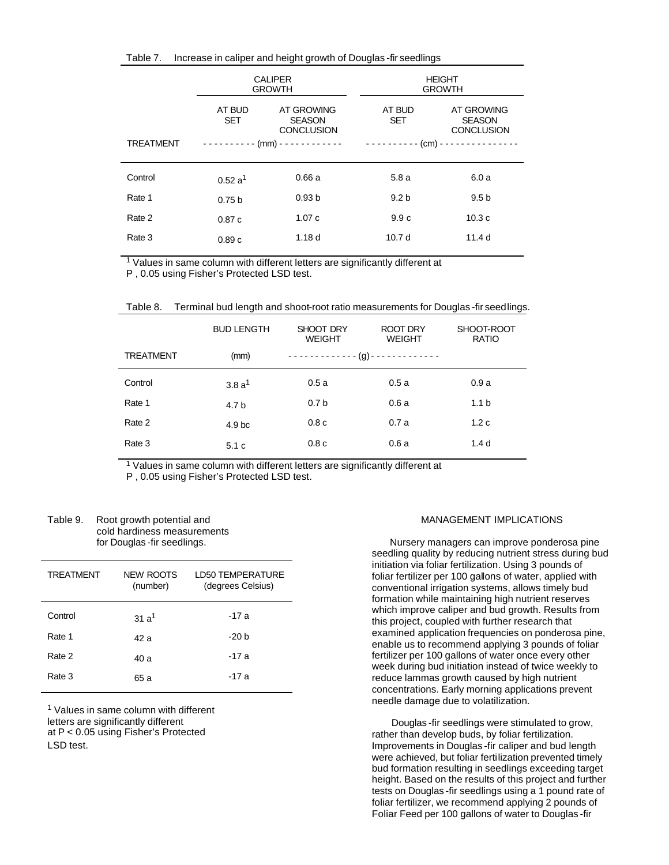| Table 7. | Increase in caliper and height growth of Douglas -fir seedlings |  |  |  |
|----------|-----------------------------------------------------------------|--|--|--|
|          |                                                                 |  |  |  |

|                  | <b>CALIPER</b><br><b>GROWTH</b>                                          |                   |                      | <b>HEIGHT</b><br><b>GROWTH</b>                   |
|------------------|--------------------------------------------------------------------------|-------------------|----------------------|--------------------------------------------------|
|                  | AT BUD<br>AT GROWING<br><b>SET</b><br><b>SEASON</b><br><b>CONCLUSION</b> |                   | AT BUD<br><b>SET</b> | AT GROWING<br><b>SEASON</b><br><b>CONCLUSION</b> |
| <b>TREATMENT</b> |                                                                          |                   |                      |                                                  |
| Control          | 0.52a <sup>1</sup>                                                       | 0.66a             | 5.8a                 | 6.0a                                             |
| Rate 1           | 0.75 <sub>b</sub>                                                        | 0.93 <sub>b</sub> | 9.2 <sub>b</sub>     | 9.5 <sub>b</sub>                                 |
| Rate 2           | 0.87c                                                                    | 1.07c             | 9.9c                 | 10.3c                                            |
| Rate 3           | 0.89c                                                                    | 1.18 <sub>d</sub> | 10.7 <sub>d</sub>    | 11.4 <sub>d</sub>                                |

<sup>1</sup> Values in same column with different letters are significantly different at

P , 0.05 using Fisher's Protected LSD test.

| Table 8.<br>Terminal bud length and shoot-root ratio measurements for Douglas -fir seedlings. |  |
|-----------------------------------------------------------------------------------------------|--|
|-----------------------------------------------------------------------------------------------|--|

|                  | <b>BUD LENGTH</b> | SHOOT DRY<br><b>WEIGHT</b>                              | ROOT DRY<br><b>WEIGHT</b> | SHOOT-ROOT<br><b>RATIO</b> |
|------------------|-------------------|---------------------------------------------------------|---------------------------|----------------------------|
| <b>TREATMENT</b> | (mm)              | - - - - - - - - - - - - - (g) - - - - - - - - - - - - - |                           |                            |
| Control          | 3.8a <sup>1</sup> | 0.5a                                                    | 0.5a                      | 0.9a                       |
| Rate 1           | 4.7 b             | 0.7 <sub>b</sub>                                        | 0.6a                      | 1.1 <sub>b</sub>           |
| Rate 2           | 4.9 <sub>bc</sub> | 0.8 <sub>c</sub>                                        | 0.7a                      | 1.2c                       |
| Rate 3           | 5.1c              | 0.8 <sub>c</sub>                                        | 0.6a                      | 1.4 <sub>d</sub>           |

<sup>1</sup> Values in same column with different letters are significantly different at

P , 0.05 using Fisher's Protected LSD test.

| Table 9. | Root growth potential and    |
|----------|------------------------------|
|          | cold hardiness measurements  |
|          | for Douglas - fir seedlings. |

| <b>TREATMENT</b> | NEW ROOTS<br>(number) | LD50 TEMPERATURE<br>(degrees Celsius) |
|------------------|-----------------------|---------------------------------------|
| Control          | 31a <sup>1</sup>      | -17 a                                 |
| Rate 1           | 42 a                  | -20 b                                 |
| Rate 2           | 40a                   | -17 a                                 |
| Rate 3           | 65 a                  | -17 a                                 |

<sup>1</sup> Values in same column with different letters are significantly different at P < 0.05 using Fisher's Protected LSD test.

## MANAGEMENT IMPLICATIONS

Nursery managers can improve ponderosa pine seedling quality by reducing nutrient stress during bud initiation via foliar fertilization. Using 3 pounds of foliar fertilizer per 100 gallons of water, applied with conventional irrigation systems, allows timely bud formation while maintaining high nutrient reserves which improve caliper and bud growth. Results from this project, coupled with further research that examined application frequencies on ponderosa pine, enable us to recommend applying 3 pounds of foliar fertilizer per 100 gallons of water once every other week during bud initiation instead of twice weekly to reduce lammas growth caused by high nutrient concentrations. Early morning applications prevent needle damage due to volatilization.

Douglas -fir seedlings were stimulated to grow, rather than develop buds, by foliar fertilization. Improvements in Douglas -fir caliper and bud length were achieved, but foliar fertilization prevented timely bud formation resulting in seedlings exceeding target height. Based on the results of this project and further tests on Douglas -fir seedlings using a 1 pound rate of foliar fertilizer, we recommend applying 2 pounds of Foliar Feed per 100 gallons of water to Douglas -fir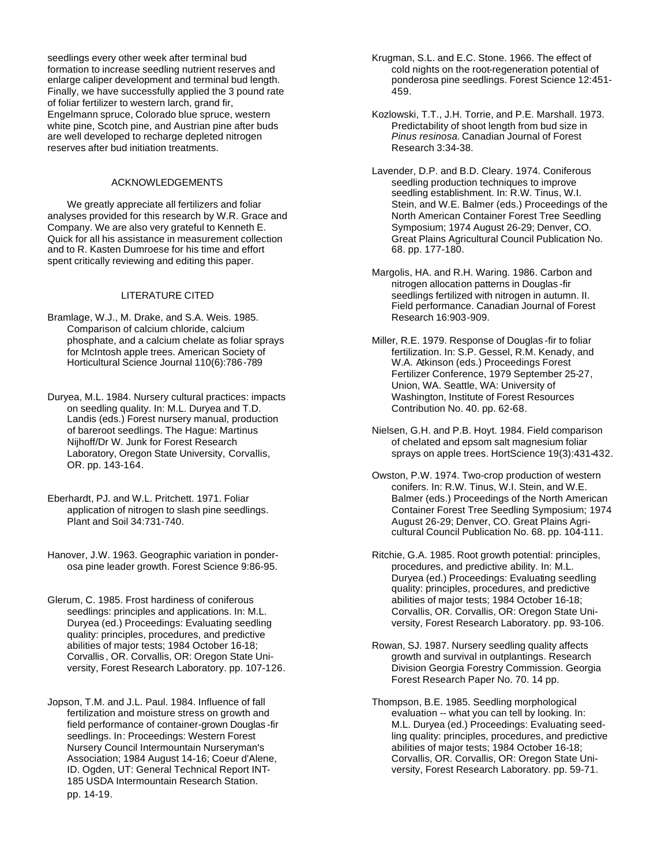seedlings every other week after terminal bud formation to increase seedling nutrient reserves and enlarge caliper development and terminal bud length. Finally, we have successfully applied the 3 pound rate of foliar fertilizer to western larch, grand fir, Engelmann spruce, Colorado blue spruce, western white pine, Scotch pine, and Austrian pine after buds are well developed to recharge depleted nitrogen reserves after bud initiation treatments.

# ACKNOWLEDGEMENTS

We greatly appreciate all fertilizers and foliar analyses provided for this research by W.R. Grace and Company. We are also very grateful to Kenneth E. Quick for all his assistance in measurement collection and to R. Kasten Dumroese for his time and effort spent critically reviewing and editing this paper.

# LITERATURE CITED

- Bramlage, W.J., M. Drake, and S.A. Weis. 1985. Comparison of calcium chloride, calcium phosphate, and a calcium chelate as foliar sprays for McIntosh apple trees. American Society of Horticultural Science Journal 110(6):786-789
- Duryea, M.L. 1984. Nursery cultural practices: impacts on seedling quality. In: M.L. Duryea and T.D. Landis (eds.) Forest nursery manual, production of bareroot seedlings. The Hague: Martinus Nijhoff/Dr W. Junk for Forest Research Laboratory, Oregon State University, Corvallis, OR. pp. 143-164.
- Eberhardt, PJ. and W.L. Pritchett. 1971. Foliar application of nitrogen to slash pine seedlings. Plant and Soil 34:731-740.
- Hanover, J.W. 1963. Geographic variation in ponderosa pine leader growth. Forest Science 9:86-95.
- Glerum, C. 1985. Frost hardiness of coniferous seedlings: principles and applications. In: M.L. Duryea (ed.) Proceedings: Evaluating seedling quality: principles, procedures, and predictive abilities of major tests; 1984 October 16-18; Corvallis , OR. Corvallis, OR: Oregon State University, Forest Research Laboratory. pp. 107-126.
- Jopson, T.M. and J.L. Paul. 1984. Influence of fall fertilization and moisture stress on growth and field performance of container-grown Douglas -fir seedlings. In: Proceedings: Western Forest Nursery Council Intermountain Nurseryman's Association; 1984 August 14-16; Coeur d'Alene, ID. Ogden, UT: General Technical Report INT-185 USDA Intermountain Research Station. pp. 14-19.

Krugman, S.L. and E.C. Stone. 1966. The effect of cold nights on the root-regeneration potential of ponderosa pine seedlings. Forest Science 12:451- 459.

- Kozlowski, T.T., J.H. Torrie, and P.E. Marshall. 1973. Predictability of shoot length from bud size in *Pinus resinosa.* Canadian Journal of Forest Research 3:34-38.
- Lavender, D.P. and B.D. Cleary. 1974. Coniferous seedling production techniques to improve seedling establishment. In: R.W. Tinus, W.I. Stein, and W.E. Balmer (eds.) Proceedings of the North American Container Forest Tree Seedling Symposium; 1974 August 26-29; Denver, CO. Great Plains Agricultural Council Publication No. 68. pp. 177-180.
- Margolis, HA. and R.H. Waring. 1986. Carbon and nitrogen allocation patterns in Douglas -fir seedlings fertilized with nitrogen in autumn. II. Field performance. Canadian Journal of Forest Research 16:903-909.
- Miller, R.E. 1979. Response of Douglas -fir to foliar fertilization. In: S.P. Gessel, R.M. Kenady, and W.A. Atkinson (eds.) Proceedings Forest Fertilizer Conference, 1979 September 25-27, Union, WA. Seattle, WA: University of Washington, Institute of Forest Resources Contribution No. 40. pp. 62-68.
- Nielsen, G.H. and P.B. Hoyt. 1984. Field comparison of chelated and epsom salt magnesium foliar sprays on apple trees. HortScience 19(3):431-432.
- Owston, P.W. 1974. Two-crop production of western conifers. In: R.W. Tinus, W.I. Stein, and W.E. Balmer (eds.) Proceedings of the North American Container Forest Tree Seedling Symposium; 1974 August 26-29; Denver, CO. Great Plains Agricultural Council Publication No. 68. pp. 104-111.
- Ritchie, G.A. 1985. Root growth potential: principles, procedures, and predictive ability. In: M.L. Duryea (ed.) Proceedings: Evaluating seedling quality: principles, procedures, and predictive abilities of major tests; 1984 October 16-18; Corvallis, OR. Corvallis, OR: Oregon State University, Forest Research Laboratory. pp. 93-106.
- Rowan, SJ. 1987. Nursery seedling quality affects growth and survival in outplantings. Research Division Georgia Forestry Commission. Georgia Forest Research Paper No. 70. 14 pp.
- Thompson, B.E. 1985. Seedling morphological evaluation -- what you can tell by looking. In: M.L. Duryea (ed.) Proceedings: Evaluating seedling quality: principles, procedures, and predictive abilities of major tests; 1984 October 16-18; Corvallis, OR. Corvallis, OR: Oregon State University, Forest Research Laboratory. pp. 59-71.